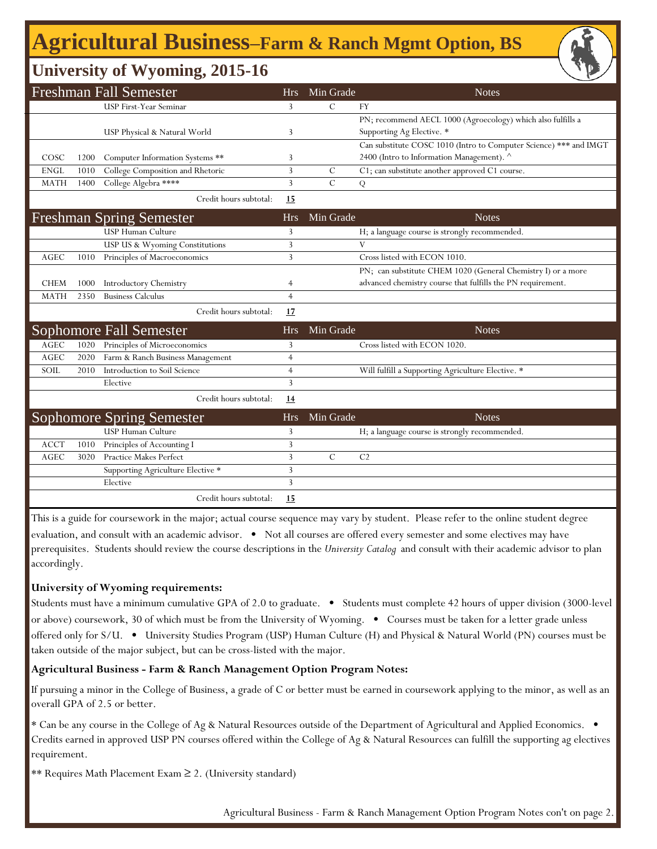# **Agricultural Business‒Farm & Ranch Mgmt Option, BS**

## **University of Wyoming, 2015-16**

|             |      | <b>Freshman Fall Semester</b>     | <b>Hrs</b>     | Min Grade     | <b>Notes</b>                                                      |
|-------------|------|-----------------------------------|----------------|---------------|-------------------------------------------------------------------|
|             |      | USP First-Year Seminar            | 3              | $\mathcal{C}$ | <b>FY</b>                                                         |
|             |      |                                   |                |               | PN; recommend AECL 1000 (Agroecology) which also fulfills a       |
|             |      | USP Physical & Natural World      | 3              |               | Supporting Ag Elective. *                                         |
|             |      |                                   |                |               | Can substitute COSC 1010 (Intro to Computer Science) *** and IMGT |
| COSC        | 1200 | Computer Information Systems **   | 3              |               | 2400 (Intro to Information Management). ^                         |
| <b>ENGL</b> | 1010 | College Composition and Rhetoric  | 3              | $\mathcal{C}$ | C1; can substitute another approved C1 course.                    |
| <b>MATH</b> | 1400 | College Algebra ****              | 3              | $\mathcal{C}$ | Q                                                                 |
|             |      | Credit hours subtotal:            | 15             |               |                                                                   |
|             |      | <b>Freshman Spring Semester</b>   | <b>Hrs</b>     | Min Grade     | <b>Notes</b>                                                      |
|             |      | <b>USP Human Culture</b>          | 3              |               | H; a language course is strongly recommended.                     |
|             |      | USP US & Wyoming Constitutions    | 3              |               | V                                                                 |
| <b>AGEC</b> | 1010 | Principles of Macroeconomics      | 3              |               | Cross listed with ECON 1010.                                      |
|             |      |                                   |                |               | PN; can substitute CHEM 1020 (General Chemistry I) or a more      |
| <b>CHEM</b> | 1000 | Introductory Chemistry            | 4              |               | advanced chemistry course that fulfills the PN requirement.       |
| <b>MATH</b> | 2350 | <b>Business Calculus</b>          | $\overline{4}$ |               |                                                                   |
|             |      | Credit hours subtotal:            | 17             |               |                                                                   |
|             |      | Sophomore Fall Semester           | <b>Hrs</b>     | Min Grade     | <b>Notes</b>                                                      |
| <b>AGEC</b> | 1020 | Principles of Microeconomics      | 3              |               | Cross listed with ECON 1020.                                      |
| <b>AGEC</b> | 2020 | Farm & Ranch Business Management  | $\overline{4}$ |               |                                                                   |
| SOIL        | 2010 | Introduction to Soil Science      | $\overline{4}$ |               | Will fulfill a Supporting Agriculture Elective. *                 |
|             |      | Elective                          | 3              |               |                                                                   |
|             |      | Credit hours subtotal:            | <u>14</u>      |               |                                                                   |
|             |      | <b>Sophomore Spring Semester</b>  | <b>Hrs</b>     | Min Grade     | <b>Notes</b>                                                      |
|             |      | <b>USP Human Culture</b>          | 3              |               | H; a language course is strongly recommended.                     |
| <b>ACCT</b> | 1010 | Principles of Accounting I        | 3              |               |                                                                   |
| AGEC        | 3020 | <b>Practice Makes Perfect</b>     | 3              | $\mathsf C$   | C <sub>2</sub>                                                    |
|             |      | Supporting Agriculture Elective * | 3              |               |                                                                   |
|             |      | Elective                          | 3              |               |                                                                   |
|             |      | Credit hours subtotal:            | 15             |               |                                                                   |

This is a guide for coursework in the major; actual course sequence may vary by student. Please refer to the online student degree evaluation, and consult with an academic advisor. • Not all courses are offered every semester and some electives may have prerequisites. Students should review the course descriptions in the *University Catalog* and consult with their academic advisor to plan accordingly.

### **University of Wyoming requirements:**

Students must have a minimum cumulative GPA of 2.0 to graduate. • Students must complete 42 hours of upper division (3000-level or above) coursework, 30 of which must be from the University of Wyoming. • Courses must be taken for a letter grade unless offered only for S/U. • University Studies Program (USP) Human Culture (H) and Physical & Natural World (PN) courses must be taken outside of the major subject, but can be cross-listed with the major.

### **Agricultural Business - Farm & Ranch Management Option Program Notes:**

If pursuing a minor in the College of Business, a grade of C or better must be earned in coursework applying to the minor, as well as an overall GPA of 2.5 or better.

\* Can be any course in the College of Ag & Natural Resources outside of the Department of Agricultural and Applied Economics. • Credits earned in approved USP PN courses offered within the College of Ag & Natural Resources can fulfill the supporting ag electives requirement.

\*\* Requires Math Placement Exam ≥ 2. (University standard)

Agricultural Business - Farm & Ranch Management Option Program Notes con't on page 2.